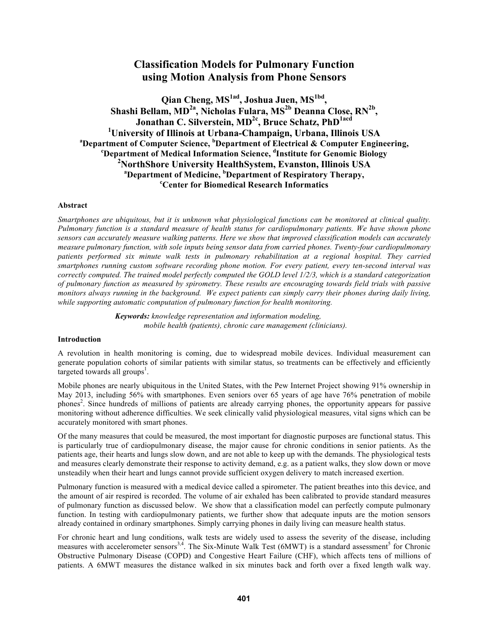# **Classification Models for Pulmonary Function using Motion Analysis from Phone Sensors**

**Qian Cheng, MS1ad, Joshua Juen, MS1bd, Shashi Bellam, MD2a , Nicholas Fulara, MS2b Deanna Close, RN2b , Jonathan C. Silverstein, MD2c , Bruce Schatz, PhD1acd** <sup>1</sup> University of Illinois at Urbana-Champaign, Urbana, Illinois USA<br><sup>a</sup> Department of Computer Science, <sup>b</sup> Department of Electrical & Computer Engine **Department of Computer Science, <sup>b</sup>Department of Electrical & Computer Engineering, Department of Medical Information Science, d Institute for Genomic Biology 2 NorthShore University HealthSystem, Evanston, Illinois USA <sup>a</sup> Department of Medicine, <sup>b</sup>Department of Respiratory Therapy, Center for Biomedical Research Informatics**

### **Abstract**

*Smartphones are ubiquitous, but it is unknown what physiological functions can be monitored at clinical quality. Pulmonary function is a standard measure of health status for cardiopulmonary patients. We have shown phone sensors can accurately measure walking patterns. Here we show that improved classification models can accurately measure pulmonary function, with sole inputs being sensor data from carried phones. Twenty-four cardiopulmonary patients performed six minute walk tests in pulmonary rehabilitation at a regional hospital. They carried smartphones running custom software recording phone motion. For every patient, every ten-second interval was correctly computed. The trained model perfectly computed the GOLD level 1/2/3, which is a standard categorization of pulmonary function as measured by spirometry. These results are encouraging towards field trials with passive monitors always running in the background. We expect patients can simply carry their phones during daily living, while supporting automatic computation of pulmonary function for health monitoring.*

> *Keywords: knowledge representation and information modeling, mobile health (patients), chronic care management (clinicians).*

### **Introduction**

A revolution in health monitoring is coming, due to widespread mobile devices. Individual measurement can generate population cohorts of similar patients with similar status, so treatments can be effectively and efficiently targeted towards all groups<sup>1</sup>.

Mobile phones are nearly ubiquitous in the United States, with the Pew Internet Project showing 91% ownership in May 2013, including 56% with smartphones. Even seniors over 65 years of age have 76% penetration of mobile phones<sup>2</sup>. Since hundreds of millions of patients are already carrying phones, the opportunity appears for passive monitoring without adherence difficulties. We seek clinically valid physiological measures, vital signs which can be accurately monitored with smart phones.

Of the many measures that could be measured, the most important for diagnostic purposes are functional status. This is particularly true of cardiopulmonary disease, the major cause for chronic conditions in senior patients. As the patients age, their hearts and lungs slow down, and are not able to keep up with the demands. The physiological tests and measures clearly demonstrate their response to activity demand, e.g. as a patient walks, they slow down or move unsteadily when their heart and lungs cannot provide sufficient oxygen delivery to match increased exertion.

Pulmonary function is measured with a medical device called a spirometer. The patient breathes into this device, and the amount of air respired is recorded. The volume of air exhaled has been calibrated to provide standard measures of pulmonary function as discussed below. We show that a classification model can perfectly compute pulmonary function. In testing with cardiopulmonary patients, we further show that adequate inputs are the motion sensors already contained in ordinary smartphones. Simply carrying phones in daily living can measure health status.

For chronic heart and lung conditions, walk tests are widely used to assess the severity of the disease, including measures with accelerometer sensors<sup>3,4</sup>. The Six-Minute Walk Test (6MWT) is a standard assessment<sup>5</sup> for Chronic Obstructive Pulmonary Disease (COPD) and Congestive Heart Failure (CHF), which affects tens of millions of patients. A 6MWT measures the distance walked in six minutes back and forth over a fixed length walk way.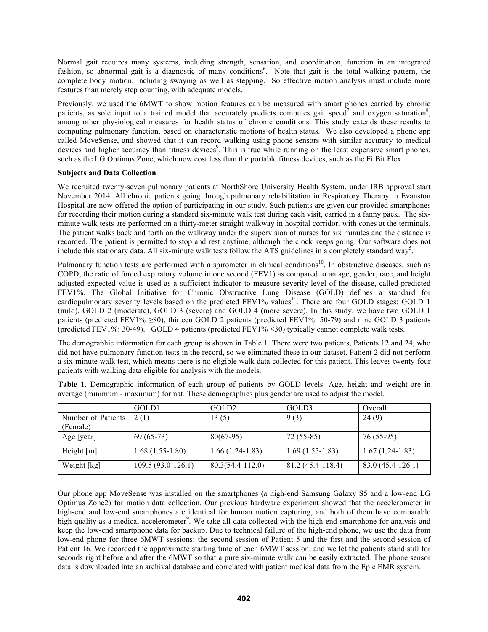Normal gait requires many systems, including strength, sensation, and coordination, function in an integrated fashion, so abnormal gait is a diagnostic of many conditions<sup>6</sup>. Note that gait is the total walking pattern, the complete body motion, including swaying as well as stepping. So effective motion analysis must include more features than merely step counting, with adequate models.

Previously, we used the 6MWT to show motion features can be measured with smart phones carried by chronic patients, as sole input to a trained model that accurately predicts computes gait speed<sup>7</sup> and oxygen saturation<sup>8</sup>, among other physiological measures for health status of chronic conditions. This study extends these results to computing pulmonary function, based on characteristic motions of health status. We also developed a phone app called MoveSense, and showed that it can record walking using phone sensors with similar accuracy to medical devices and higher accuracy than fitness devices<sup>9</sup>. This is true while running on the least expensive smart phones, such as the LG Optimus Zone, which now cost less than the portable fitness devices, such as the FitBit Flex.

### **Subjects and Data Collection**

We recruited twenty-seven pulmonary patients at NorthShore University Health System, under IRB approval start November 2014. All chronic patients going through pulmonary rehabilitation in Respiratory Therapy in Evanston Hospital are now offered the option of participating in our study. Such patients are given our provided smartphones for recording their motion during a standard six-minute walk test during each visit, carried in a fanny pack. The sixminute walk tests are performed on a thirty-meter straight walkway in hospital corridor, with cones at the terminals. The patient walks back and forth on the walkway under the supervision of nurses for six minutes and the distance is recorded. The patient is permitted to stop and rest anytime, although the clock keeps going. Our software does not include this stationary data. All six-minute walk tests follow the ATS guidelines in a completely standard way<sup>5</sup>.

Pulmonary function tests are performed with a spirometer in clinical conditions<sup>10</sup>. In obstructive diseases, such as COPD, the ratio of forced expiratory volume in one second (FEV1) as compared to an age, gender, race, and height adjusted expected value is used as a sufficient indicator to measure severity level of the disease, called predicted FEV1%. The Global Initiative for Chronic Obstructive Lung Disease (GOLD) defines a standard for cardiopulmonary severity levels based on the predicted FEV1% values<sup>11</sup>. There are four GOLD stages: GOLD 1 (mild), GOLD 2 (moderate), GOLD 3 (severe) and GOLD 4 (more severe). In this study, we have two GOLD 1 patients (predicted FEV1%  $\geq$ 80), thirteen GOLD 2 patients (predicted FEV1%: 50-79) and nine GOLD 3 patients (predicted FEV1%: 30-49). GOLD 4 patients (predicted FEV1% <30) typically cannot complete walk tests.

The demographic information for each group is shown in Table 1. There were two patients, Patients 12 and 24, who did not have pulmonary function tests in the record, so we eliminated these in our dataset. Patient 2 did not perform a six-minute walk test, which means there is no eligible walk data collected for this patient. This leaves twenty-four patients with walking data eligible for analysis with the models.

|                    | GOLD1              | GOLD <sub>2</sub>    | GOLD3             | Overall           |
|--------------------|--------------------|----------------------|-------------------|-------------------|
| Number of Patients | 2(1)               | 13(5)                | 9(3)              | 24(9)             |
| (Female)           |                    |                      |                   |                   |
| Age [year]         | $69(65-73)$        | $80(67-95)$          | $72(55-85)$       | 76 (55-95)        |
| Height $[m]$       | $1.68(1.55-1.80)$  | $1.66(1.24-1.83)$    | $1.69(1.55-1.83)$ | $1.67(1.24-1.83)$ |
| Weight [kg]        | 109.5 (93.0-126.1) | $80.3(54.4 - 112.0)$ | 81.2 (45.4-118.4) | 83.0 (45.4-126.1) |

**Table 1.** Demographic information of each group of patients by GOLD levels. Age, height and weight are in average (minimum - maximum) format. These demographics plus gender are used to adjust the model.

Our phone app MoveSense was installed on the smartphones (a high-end Samsung Galaxy S5 and a low-end LG Optimus Zone2) for motion data collection. Our previous hardware experiment showed that the accelerometer in high-end and low-end smartphones are identical for human motion capturing, and both of them have comparable high quality as a medical accelerometer<sup>9</sup>. We take all data collected with the high-end smartphone for analysis and keep the low-end smartphone data for backup. Due to technical failure of the high-end phone, we use the data from low-end phone for three 6MWT sessions: the second session of Patient 5 and the first and the second session of Patient 16. We recorded the approximate starting time of each 6MWT session, and we let the patients stand still for seconds right before and after the 6MWT so that a pure six-minute walk can be easily extracted. The phone sensor data is downloaded into an archival database and correlated with patient medical data from the Epic EMR system.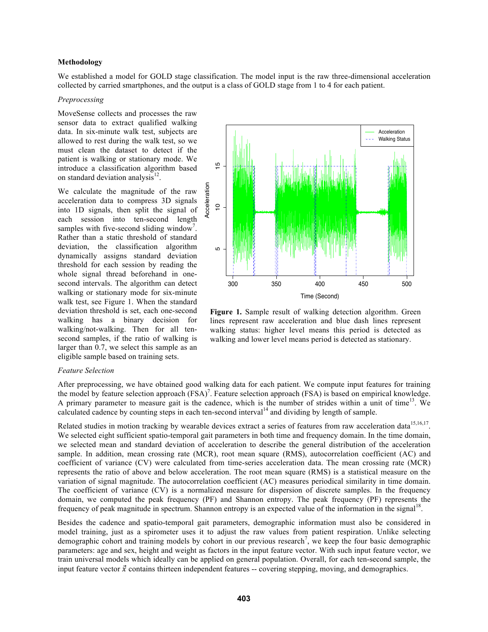### **Methodology**

We established a model for GOLD stage classification. The model input is the raw three-dimensional acceleration collected by carried smartphones, and the output is a class of GOLD stage from 1 to 4 for each patient.

# *Preprocessing*

MoveSense collects and processes the raw sensor data to extract qualified walking data. In six-minute walk test, subjects are allowed to rest during the walk test, so we must clean the dataset to detect if the patient is walking or stationary mode. We introduce a classification algorithm based on standard deviation analysis<sup>12</sup>.

We calculate the magnitude of the raw acceleration data to compress 3D signals into 1D signals, then split the signal of each session into ten-second length samples with five-second sliding window<sup>7</sup>. Rather than a static threshold of standard deviation, the classification algorithm dynamically assigns standard deviation threshold for each session by reading the whole signal thread beforehand in onesecond intervals. The algorithm can detect walking or stationary mode for six-minute walk test, see Figure 1. When the standard deviation threshold is set, each one-second walking has a binary decision for walking/not-walking. Then for all tensecond samples, if the ratio of walking is larger than 0.7, we select this sample as an eligible sample based on training sets.



Figure 1. Sample result of walking detection algorithm. Green lines represent raw acceleration and blue dash lines represent walking status: higher level means this period is detected as walking and lower level means period is detected as stationary.

#### *Feature Selection*

After preprocessing, we have obtained good walking data for each patient. We compute input features for training the model by feature selection approach (FSA)<sup>7</sup>. Feature selection approach (FSA) is based on empirical knowledge. A primary parameter to measure gait is the cadence, which is the number of strides within a unit of time<sup>13</sup>. We calculated cadence by counting steps in each ten-second interval<sup>14</sup> and dividing by length of sample.

Related studies in motion tracking by wearable devices extract a series of features from raw acceleration data  $15,16,17$ . We selected eight sufficient spatio-temporal gait parameters in both time and frequency domain. In the time domain, we selected mean and standard deviation of acceleration to describe the general distribution of the acceleration sample. In addition, mean crossing rate (MCR), root mean square (RMS), autocorrelation coefficient (AC) and coefficient of variance (CV) were calculated from time-series acceleration data. The mean crossing rate (MCR) represents the ratio of above and below acceleration. The root mean square (RMS) is a statistical measure on the variation of signal magnitude. The autocorrelation coefficient (AC) measures periodical similarity in time domain. The coefficient of variance (CV) is a normalized measure for dispersion of discrete samples. In the frequency domain, we computed the peak frequency (PF) and Shannon entropy. The peak frequency (PF) represents the frequency of peak magnitude in spectrum. Shannon entropy is an expected value of the information in the signal<sup>18</sup>.

Besides the cadence and spatio-temporal gait parameters, demographic information must also be considered in model training, just as a spirometer uses it to adjust the raw values from patient respiration. Unlike selecting demographic cohort and training models by cohort in our previous research<sup>7</sup>, we keep the four basic demographic parameters: age and sex, height and weight as factors in the input feature vector. With such input feature vector, we train universal models which ideally can be applied on general population. Overall, for each ten-second sample, the input feature vector  $\vec{x}$  contains thirteen independent features -- covering stepping, moving, and demographics.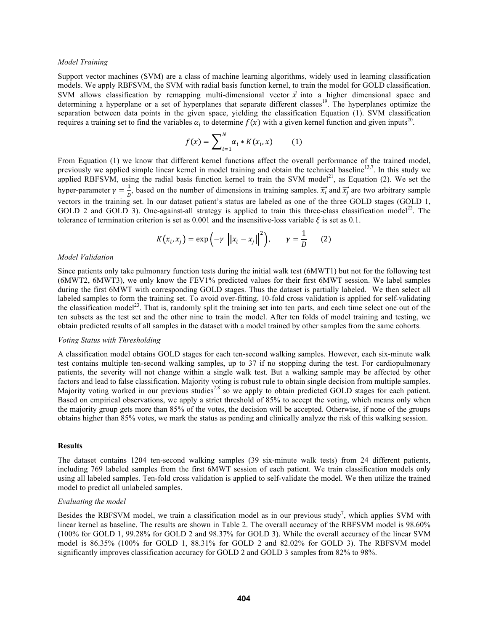#### *Model Training*

Support vector machines (SVM) are a class of machine learning algorithms, widely used in learning classification models. We apply RBFSVM, the SVM with radial basis function kernel, to train the model for GOLD classification. SVM allows classification by remapping multi-dimensional vector  $\vec{x}$  into a higher dimensional space and determining a hyperplane or a set of hyperplanes that separate different classes<sup>19</sup>. The hyperplanes optimize the separation between data points in the given space, yielding the classification Equation (1). SVM classification requires a training set to find the variables  $\alpha_i$  to determine  $f(x)$  with a given kernel function and given inputs<sup>20</sup>.

$$
f(x) = \sum_{i=1}^{N} \alpha_i * K(x_i, x)
$$
 (1)

From Equation (1) we know that different kernel functions affect the overall performance of the trained model, previously we applied simple linear kernel in model training and obtain the technical baseline<sup>13,7</sup>. In this study we applied RBFSVM, using the radial basis function kernel to train the SVM model<sup>21</sup>, as Equation (2). We set the hyper-parameter  $\gamma = \frac{1}{p}$ , based on the number of dimensions in training samples.  $\overline{x_i}$  and  $\overline{x_j}$  are two arbitrary sample vectors in the training set. In our dataset patient's status are labeled as one of the three GOLD stages (GOLD 1, GOLD 2 and GOLD 3). One-against-all strategy is applied to train this three-class classification model<sup>22</sup>. The tolerance of termination criterion is set as 0.001 and the insensitive-loss variable  $\xi$  is set as 0.1.

$$
K(x_i, x_j) = \exp\left(-\gamma \left| \left| x_i - x_j \right| \right|^2 \right), \qquad \gamma = \frac{1}{D} \tag{2}
$$

#### *Model Validation*

Since patients only take pulmonary function tests during the initial walk test (6MWT1) but not for the following test (6MWT2, 6MWT3), we only know the FEV1% predicted values for their first 6MWT session. We label samples during the first 6MWT with corresponding GOLD stages. Thus the dataset is partially labeled. We then select all labeled samples to form the training set. To avoid over-fitting, 10-fold cross validation is applied for self-validating the classification model<sup>23</sup>. That is, randomly split the training set into ten parts, and each time select one out of the ten subsets as the test set and the other nine to train the model. After ten folds of model training and testing, we obtain predicted results of all samples in the dataset with a model trained by other samples from the same cohorts.

#### *Voting Status with Thresholding*

A classification model obtains GOLD stages for each ten-second walking samples. However, each six-minute walk test contains multiple ten-second walking samples, up to 37 if no stopping during the test. For cardiopulmonary patients, the severity will not change within a single walk test. But a walking sample may be affected by other factors and lead to false classification. Majority voting is robust rule to obtain single decision from multiple samples. Majority voting worked in our previous studies<sup>7,8</sup> so we apply to obtain predicted GOLD stages for each patient. Based on empirical observations, we apply a strict threshold of 85% to accept the voting, which means only when the majority group gets more than 85% of the votes, the decision will be accepted. Otherwise, if none of the groups obtains higher than 85% votes, we mark the status as pending and clinically analyze the risk of this walking session.

#### **Results**

The dataset contains 1204 ten-second walking samples (39 six-minute walk tests) from 24 different patients, including 769 labeled samples from the first 6MWT session of each patient. We train classification models only using all labeled samples. Ten-fold cross validation is applied to self-validate the model. We then utilize the trained model to predict all unlabeled samples.

#### *Evaluating the model*

Besides the RBFSVM model, we train a classification model as in our previous study<sup>7</sup>, which applies SVM with linear kernel as baseline. The results are shown in Table 2. The overall accuracy of the RBFSVM model is 98.60% (100% for GOLD 1, 99.28% for GOLD 2 and 98.37% for GOLD 3). While the overall accuracy of the linear SVM model is 86.35% (100% for GOLD 1, 88.31% for GOLD 2 and 82.02% for GOLD 3). The RBFSVM model significantly improves classification accuracy for GOLD 2 and GOLD 3 samples from 82% to 98%.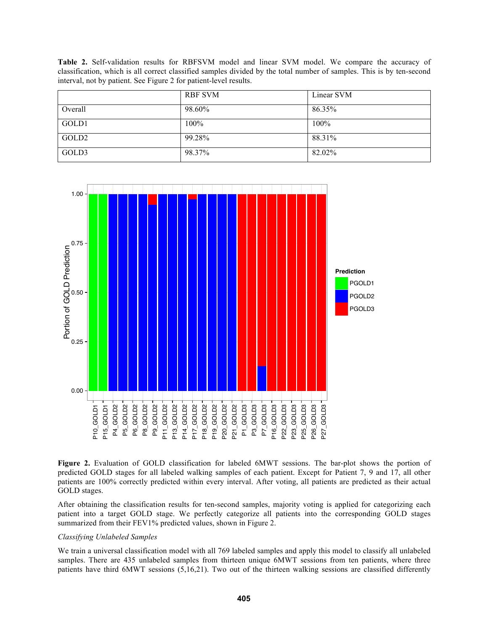**Table 2.** Self-validation results for RBFSVM model and linear SVM model. We compare the accuracy of classification, which is all correct classified samples divided by the total number of samples. This is by ten-second interval, not by patient. See Figure 2 for patient-level results.

|                   | RBF SVM | Linear SVM |
|-------------------|---------|------------|
| Overall           | 98.60%  | 86.35%     |
| GOLD1             | 100%    | 100%       |
| GOLD <sub>2</sub> | 99.28%  | 88.31%     |
| GOLD3             | 98.37%  | 82.02%     |



**Figure 2.** Evaluation of GOLD classification for labeled 6MWT sessions. The bar-plot shows the portion of predicted GOLD stages for all labeled walking samples of each patient. Except for Patient 7, 9 and 17, all other patients are 100% correctly predicted within every interval. After voting, all patients are predicted as their actual GOLD stages.

After obtaining the classification results for ten-second samples, majority voting is applied for categorizing each patient into a target GOLD stage. We perfectly categorize all patients into the corresponding GOLD stages summarized from their FEV1% predicted values, shown in Figure 2.

### *Classifying Unlabeled Samples*

We train a universal classification model with all 769 labeled samples and apply this model to classify all unlabeled samples. There are 435 unlabeled samples from thirteen unique 6MWT sessions from ten patients, where three patients have third 6MWT sessions (5,16,21). Two out of the thirteen walking sessions are classified differently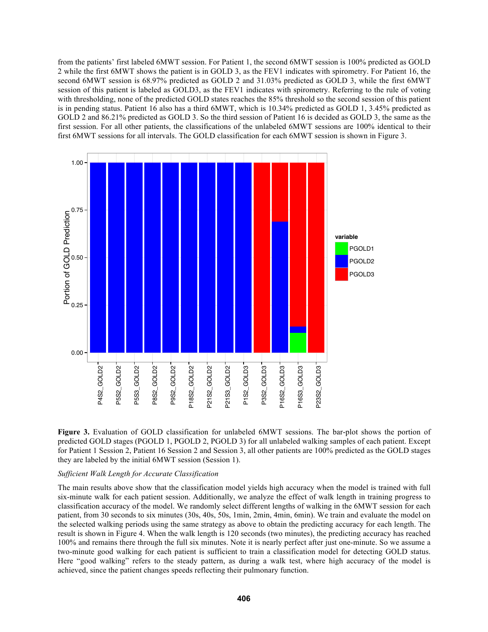from the patients' first labeled 6MWT session. For Patient 1, the second 6MWT session is 100% predicted as GOLD 2 while the first 6MWT shows the patient is in GOLD 3, as the FEV1 indicates with spirometry. For Patient 16, the second 6MWT session is 68.97% predicted as GOLD 2 and 31.03% predicted as GOLD 3, while the first 6MWT session of this patient is labeled as GOLD3, as the FEV1 indicates with spirometry. Referring to the rule of voting with thresholding, none of the predicted GOLD states reaches the 85% threshold so the second session of this patient is in pending status. Patient 16 also has a third 6MWT, which is 10.34% predicted as GOLD 1, 3.45% predicted as GOLD 2 and 86.21% predicted as GOLD 3. So the third session of Patient 16 is decided as GOLD 3, the same as the first session. For all other patients, the classifications of the unlabeled 6MWT sessions are 100% identical to their first 6MWT sessions for all intervals. The GOLD classification for each 6MWT session is shown in Figure 3.





### *Sufficient Walk Length for Accurate Classification*

The main results above show that the classification model yields high accuracy when the model is trained with full six-minute walk for each patient session. Additionally, we analyze the effect of walk length in training progress to classification accuracy of the model. We randomly select different lengths of walking in the 6MWT session for each patient, from 30 seconds to six minutes (30s, 40s, 50s, 1min, 2min, 4min, 6min). We train and evaluate the model on the selected walking periods using the same strategy as above to obtain the predicting accuracy for each length. The result is shown in Figure 4. When the walk length is 120 seconds (two minutes), the predicting accuracy has reached 100% and remains there through the full six minutes. Note it is nearly perfect after just one-minute. So we assume a two-minute good walking for each patient is sufficient to train a classification model for detecting GOLD status. Here "good walking" refers to the steady pattern, as during a walk test, where high accuracy of the model is achieved, since the patient changes speeds reflecting their pulmonary function.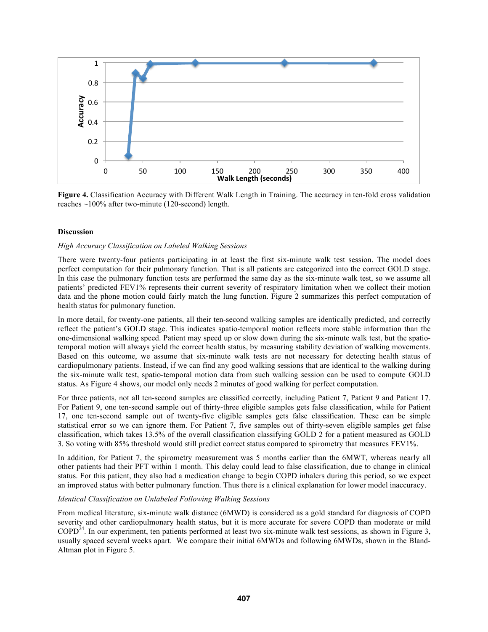

Figure 4. Classification Accuracy with Different Walk Length in Training. The accuracy in ten-fold cross validation reaches ~100% after two-minute (120-second) length.

# **Discussion**

# *High Accuracy Classification on Labeled Walking Sessions*

There were twenty-four patients participating in at least the first six-minute walk test session. The model does perfect computation for their pulmonary function. That is all patients are categorized into the correct GOLD stage. In this case the pulmonary function tests are performed the same day as the six-minute walk test, so we assume all patients' predicted FEV1% represents their current severity of respiratory limitation when we collect their motion data and the phone motion could fairly match the lung function. Figure 2 summarizes this perfect computation of health status for pulmonary function.

In more detail, for twenty-one patients, all their ten-second walking samples are identically predicted, and correctly reflect the patient's GOLD stage. This indicates spatio-temporal motion reflects more stable information than the one-dimensional walking speed. Patient may speed up or slow down during the six-minute walk test, but the spatiotemporal motion will always yield the correct health status, by measuring stability deviation of walking movements. Based on this outcome, we assume that six-minute walk tests are not necessary for detecting health status of cardiopulmonary patients. Instead, if we can find any good walking sessions that are identical to the walking during the six-minute walk test, spatio-temporal motion data from such walking session can be used to compute GOLD status. As Figure 4 shows, our model only needs 2 minutes of good walking for perfect computation.

For three patients, not all ten-second samples are classified correctly, including Patient 7, Patient 9 and Patient 17. For Patient 9, one ten-second sample out of thirty-three eligible samples gets false classification, while for Patient 17, one ten-second sample out of twenty-five eligible samples gets false classification. These can be simple statistical error so we can ignore them. For Patient 7, five samples out of thirty-seven eligible samples get false classification, which takes 13.5% of the overall classification classifying GOLD 2 for a patient measured as GOLD 3. So voting with 85% threshold would still predict correct status compared to spirometry that measures FEV1%.

In addition, for Patient 7, the spirometry measurement was 5 months earlier than the 6MWT, whereas nearly all other patients had their PFT within 1 month. This delay could lead to false classification, due to change in clinical status. For this patient, they also had a medication change to begin COPD inhalers during this period, so we expect an improved status with better pulmonary function. Thus there is a clinical explanation for lower model inaccuracy.

### *Identical Classification on Unlabeled Following Walking Sessions*

From medical literature, six-minute walk distance (6MWD) is considered as a gold standard for diagnosis of COPD severity and other cardiopulmonary health status, but it is more accurate for severe COPD than moderate or mild COPD24. In our experiment, ten patients performed at least two six-minute walk test sessions, as shown in Figure 3, usually spaced several weeks apart. We compare their initial 6MWDs and following 6MWDs, shown in the Bland-Altman plot in Figure 5.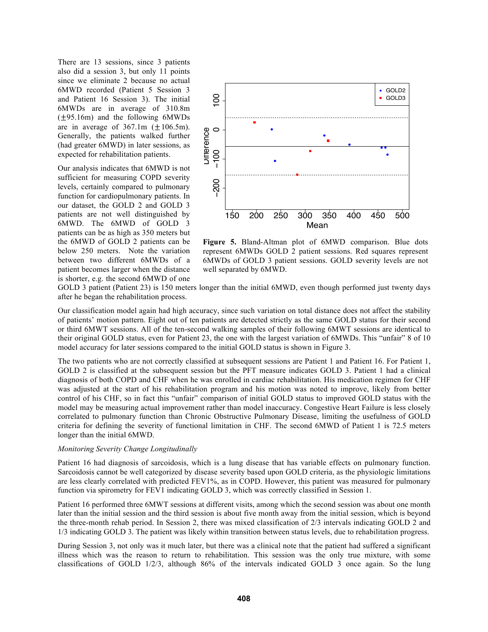There are 13 sessions, since 3 patients also did a session 3, but only 11 points since we eliminate 2 because no actual 6MWD recorded (Patient 5 Session 3 and Patient 16 Session 3). The initial 6MWDs are in average of 310.8m  $(\pm 95.16m)$  and the following 6MWDs are in average of  $367.1m$  ( $\pm 106.5m$ ). Generally, the patients walked further (had greater 6MWD) in later sessions, as expected for rehabilitation patients.

Our analysis indicates that 6MWD is not sufficient for measuring COPD severity levels, certainly compared to pulmonary function for cardiopulmonary patients. In our dataset, the GOLD 2 and GOLD 3 patients are not well distinguished by 6MWD. The 6MWD of GOLD 3 patients can be as high as 350 meters but the 6MWD of GOLD 2 patients can be below 250 meters. Note the variation between two different 6MWDs of a patient becomes larger when the distance is shorter, e.g. the second 6MWD of one



**Figure 5.** Bland-Altman plot of 6MWD comparison. Blue dots represent 6MWDs GOLD 2 patient sessions. Red squares represent 6MWDs of GOLD 3 patient sessions. GOLD severity levels are not well separated by 6MWD.

GOLD 3 patient (Patient 23) is 150 meters longer than the initial 6MWD, even though performed just twenty days after he began the rehabilitation process.

Our classification model again had high accuracy, since such variation on total distance does not affect the stability of patients' motion pattern. Eight out of ten patients are detected strictly as the same GOLD status for their second or third 6MWT sessions. All of the ten-second walking samples of their following 6MWT sessions are identical to their original GOLD status, even for Patient 23, the one with the largest variation of 6MWDs. This "unfair" 8 of 10 model accuracy for later sessions compared to the initial GOLD status is shown in Figure 3.

The two patients who are not correctly classified at subsequent sessions are Patient 1 and Patient 16. For Patient 1, GOLD 2 is classified at the subsequent session but the PFT measure indicates GOLD 3. Patient 1 had a clinical diagnosis of both COPD and CHF when he was enrolled in cardiac rehabilitation. His medication regimen for CHF was adjusted at the start of his rehabilitation program and his motion was noted to improve, likely from better control of his CHF, so in fact this "unfair" comparison of initial GOLD status to improved GOLD status with the model may be measuring actual improvement rather than model inaccuracy. Congestive Heart Failure is less closely correlated to pulmonary function than Chronic Obstructive Pulmonary Disease, limiting the usefulness of GOLD criteria for defining the severity of functional limitation in CHF. The second 6MWD of Patient 1 is 72.5 meters longer than the initial 6MWD.

#### *Monitoring Severity Change Longitudinally*

Patient 16 had diagnosis of sarcoidosis, which is a lung disease that has variable effects on pulmonary function. Sarcoidosis cannot be well categorized by disease severity based upon GOLD criteria, as the physiologic limitations are less clearly correlated with predicted FEV1%, as in COPD. However, this patient was measured for pulmonary function via spirometry for FEV1 indicating GOLD 3, which was correctly classified in Session 1.

Patient 16 performed three 6MWT sessions at different visits, among which the second session was about one month later than the initial session and the third session is about five month away from the initial session, which is beyond the three-month rehab period. In Session 2, there was mixed classification of 2/3 intervals indicating GOLD 2 and 1/3 indicating GOLD 3. The patient was likely within transition between status levels, due to rehabilitation progress.

During Session 3, not only was it much later, but there was a clinical note that the patient had suffered a significant illness which was the reason to return to rehabilitation. This session was the only true mixture, with some classifications of GOLD 1/2/3, although 86% of the intervals indicated GOLD 3 once again. So the lung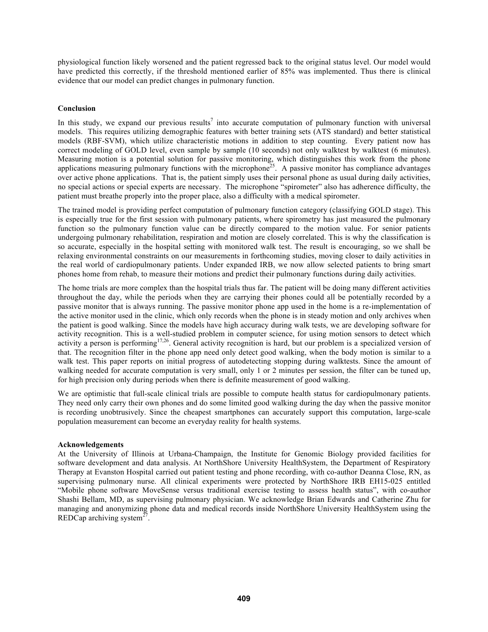physiological function likely worsened and the patient regressed back to the original status level. Our model would have predicted this correctly, if the threshold mentioned earlier of 85% was implemented. Thus there is clinical evidence that our model can predict changes in pulmonary function.

### **Conclusion**

In this study, we expand our previous results<sup>7</sup> into accurate computation of pulmonary function with universal models. This requires utilizing demographic features with better training sets (ATS standard) and better statistical models (RBF-SVM), which utilize characteristic motions in addition to step counting. Every patient now has correct modeling of GOLD level, even sample by sample (10 seconds) not only walktest by walktest (6 minutes). Measuring motion is a potential solution for passive monitoring, which distinguishes this work from the phone applications measuring pulmonary functions with the microphone<sup>25</sup>. A passive monitor has compliance advantages over active phone applications. That is, the patient simply uses their personal phone as usual during daily activities, no special actions or special experts are necessary. The microphone "spirometer" also has adherence difficulty, the patient must breathe properly into the proper place, also a difficulty with a medical spirometer.

The trained model is providing perfect computation of pulmonary function category (classifying GOLD stage). This is especially true for the first session with pulmonary patients, where spirometry has just measured the pulmonary function so the pulmonary function value can be directly compared to the motion value. For senior patients undergoing pulmonary rehabilitation, respiration and motion are closely correlated. This is why the classification is so accurate, especially in the hospital setting with monitored walk test. The result is encouraging, so we shall be relaxing environmental constraints on our measurements in forthcoming studies, moving closer to daily activities in the real world of cardiopulmonary patients. Under expanded IRB, we now allow selected patients to bring smart phones home from rehab, to measure their motions and predict their pulmonary functions during daily activities.

The home trials are more complex than the hospital trials thus far. The patient will be doing many different activities throughout the day, while the periods when they are carrying their phones could all be potentially recorded by a passive monitor that is always running. The passive monitor phone app used in the home is a re-implementation of the active monitor used in the clinic, which only records when the phone is in steady motion and only archives when the patient is good walking. Since the models have high accuracy during walk tests, we are developing software for activity recognition. This is a well-studied problem in computer science, for using motion sensors to detect which activity a person is performing<sup>17,26</sup>. General activity recognition is hard, but our problem is a specialized version of that. The recognition filter in the phone app need only detect good walking, when the body motion is similar to a walk test. This paper reports on initial progress of autodetecting stopping during walktests. Since the amount of walking needed for accurate computation is very small, only 1 or 2 minutes per session, the filter can be tuned up, for high precision only during periods when there is definite measurement of good walking.

We are optimistic that full-scale clinical trials are possible to compute health status for cardiopulmonary patients. They need only carry their own phones and do some limited good walking during the day when the passive monitor is recording unobtrusively. Since the cheapest smartphones can accurately support this computation, large-scale population measurement can become an everyday reality for health systems.

### **Acknowledgements**

At the University of Illinois at Urbana-Champaign, the Institute for Genomic Biology provided facilities for software development and data analysis. At NorthShore University HealthSystem, the Department of Respiratory Therapy at Evanston Hospital carried out patient testing and phone recording, with co-author Deanna Close, RN, as supervising pulmonary nurse. All clinical experiments were protected by NorthShore IRB EH15-025 entitled "Mobile phone software MoveSense versus traditional exercise testing to assess health status", with co-author Shashi Bellam, MD, as supervising pulmonary physician. We acknowledge Brian Edwards and Catherine Zhu for managing and anonymizing phone data and medical records inside NorthShore University HealthSystem using the REDCap archiving system<sup>27</sup>.